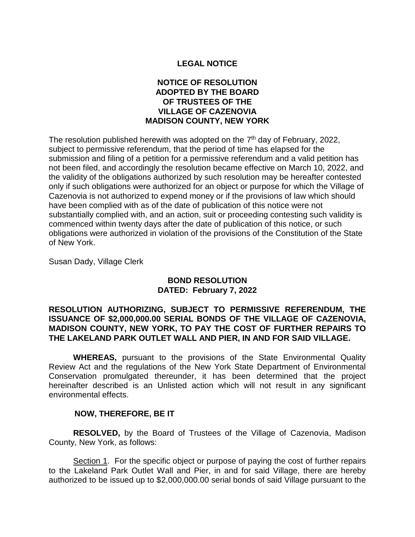# **LEGAL NOTICE**

# **NOTICE OF RESOLUTION ADOPTED BY THE BOARD OF TRUSTEES OF THE VILLAGE OF CAZENOVIA MADISON COUNTY, NEW YORK**

The resolution published herewith was adopted on the 7<sup>th</sup> day of February, 2022, subject to permissive referendum, that the period of time has elapsed for the submission and filing of a petition for a permissive referendum and a valid petition has not been filed, and accordingly the resolution became effective on March 10, 2022, and the validity of the obligations authorized by such resolution may be hereafter contested only if such obligations were authorized for an object or purpose for which the Village of Cazenovia is not authorized to expend money or if the provisions of law which should have been complied with as of the date of publication of this notice were not substantially complied with, and an action, suit or proceeding contesting such validity is commenced within twenty days after the date of publication of this notice, or such obligations were authorized in violation of the provisions of the Constitution of the State of New York.

Susan Dady, Village Clerk

### **BOND RESOLUTION DATED: February 7, 2022**

### **RESOLUTION AUTHORIZING, SUBJECT TO PERMISSIVE REFERENDUM, THE ISSUANCE OF \$2,000,000.00 SERIAL BONDS OF THE VILLAGE OF CAZENOVIA, MADISON COUNTY, NEW YORK, TO PAY THE COST OF FURTHER REPAIRS TO THE LAKELAND PARK OUTLET WALL AND PIER, IN AND FOR SAID VILLAGE.**

**WHEREAS,** pursuant to the provisions of the State Environmental Quality Review Act and the regulations of the New York State Department of Environmental Conservation promulgated thereunder, it has been determined that the project hereinafter described is an Unlisted action which will not result in any significant environmental effects.

#### **NOW, THEREFORE, BE IT**

**RESOLVED,** by the Board of Trustees of the Village of Cazenovia, Madison County, New York, as follows:

Section 1. For the specific object or purpose of paying the cost of further repairs to the Lakeland Park Outlet Wall and Pier, in and for said Village, there are hereby authorized to be issued up to \$2,000,000.00 serial bonds of said Village pursuant to the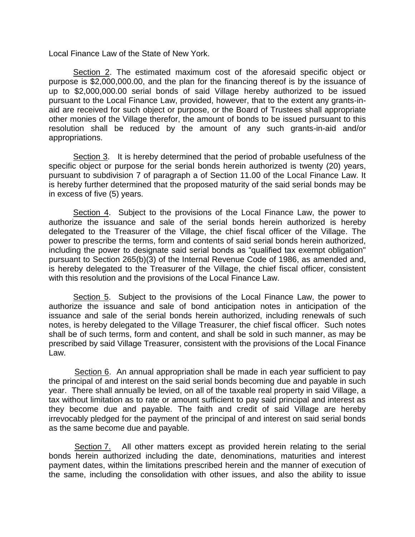Local Finance Law of the State of New York.

Section 2. The estimated maximum cost of the aforesaid specific object or purpose is \$2,000,000.00, and the plan for the financing thereof is by the issuance of up to \$2,000,000.00 serial bonds of said Village hereby authorized to be issued pursuant to the Local Finance Law, provided, however, that to the extent any grants-inaid are received for such object or purpose, or the Board of Trustees shall appropriate other monies of the Village therefor, the amount of bonds to be issued pursuant to this resolution shall be reduced by the amount of any such grants-in-aid and/or appropriations.

Section 3. It is hereby determined that the period of probable usefulness of the specific object or purpose for the serial bonds herein authorized is twenty (20) years, pursuant to subdivision 7 of paragraph a of Section 11.00 of the Local Finance Law. It is hereby further determined that the proposed maturity of the said serial bonds may be in excess of five (5) years.

Section 4. Subject to the provisions of the Local Finance Law, the power to authorize the issuance and sale of the serial bonds herein authorized is hereby delegated to the Treasurer of the Village, the chief fiscal officer of the Village. The power to prescribe the terms, form and contents of said serial bonds herein authorized, including the power to designate said serial bonds as "qualified tax exempt obligation" pursuant to Section 265(b)(3) of the Internal Revenue Code of 1986, as amended and, is hereby delegated to the Treasurer of the Village, the chief fiscal officer, consistent with this resolution and the provisions of the Local Finance Law.

Section 5. Subject to the provisions of the Local Finance Law, the power to authorize the issuance and sale of bond anticipation notes in anticipation of the issuance and sale of the serial bonds herein authorized, including renewals of such notes, is hereby delegated to the Village Treasurer, the chief fiscal officer. Such notes shall be of such terms, form and content, and shall be sold in such manner, as may be prescribed by said Village Treasurer, consistent with the provisions of the Local Finance Law.

Section 6. An annual appropriation shall be made in each year sufficient to pay the principal of and interest on the said serial bonds becoming due and payable in such year. There shall annually be levied, on all of the taxable real property in said Village, a tax without limitation as to rate or amount sufficient to pay said principal and interest as they become due and payable. The faith and credit of said Village are hereby irrevocably pledged for the payment of the principal of and interest on said serial bonds as the same become due and payable.

Section 7. All other matters except as provided herein relating to the serial bonds herein authorized including the date, denominations, maturities and interest payment dates, within the limitations prescribed herein and the manner of execution of the same, including the consolidation with other issues, and also the ability to issue